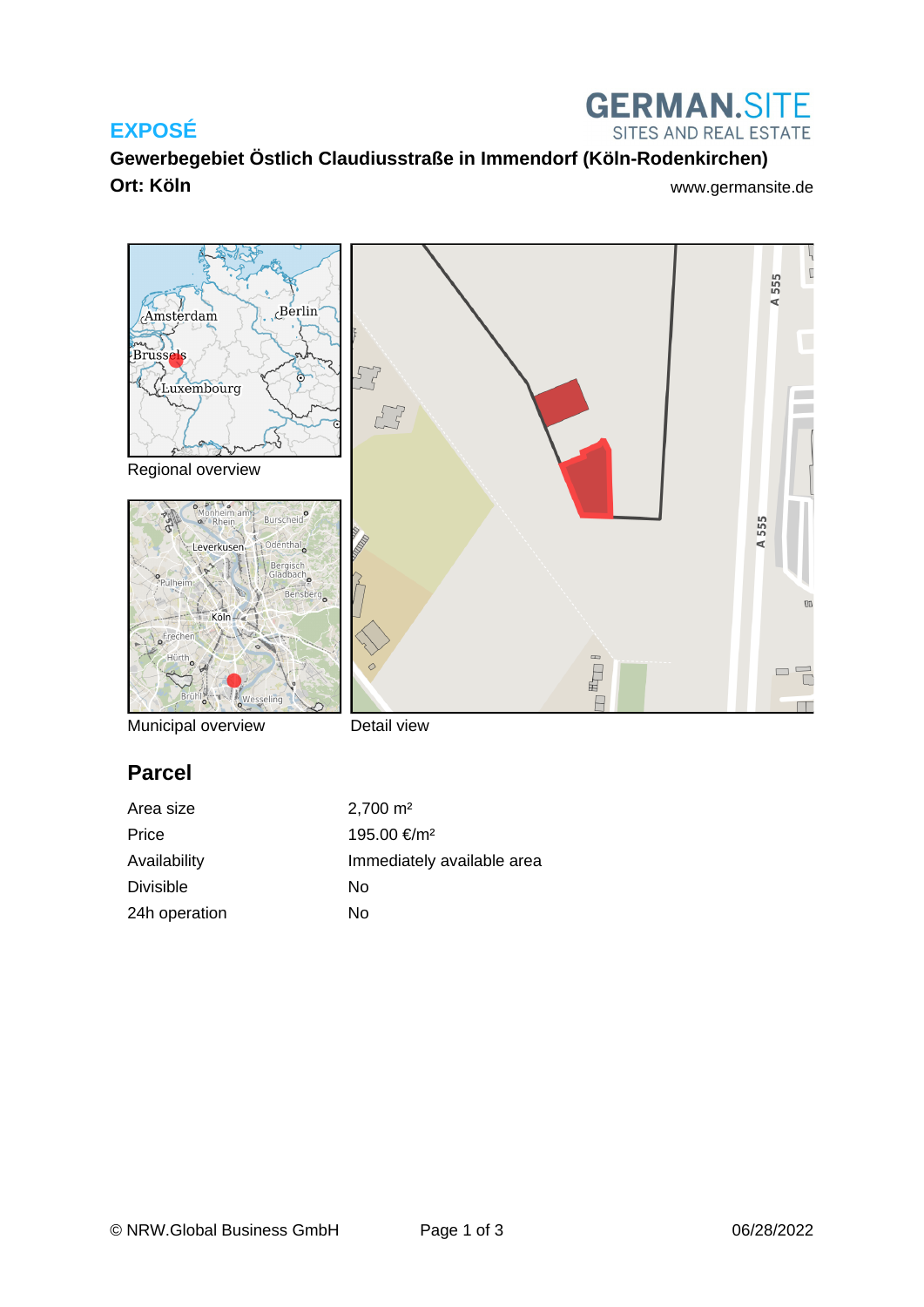### **EXPOSÉ**



**Gewerbegebiet Östlich Claudiusstraße in Immendorf (Köln-Rodenkirchen) Ort: Köln** [www.germansite.de](http://www.germansite.de)



Municipal overview

Detail view

# **Parcel**

| Area size        | $2,700 \text{ m}^2$        |
|------------------|----------------------------|
| Price            | 195.00 €/m <sup>2</sup>    |
| Availability     | Immediately available area |
| <b>Divisible</b> | Nο                         |
| 24h operation    | No                         |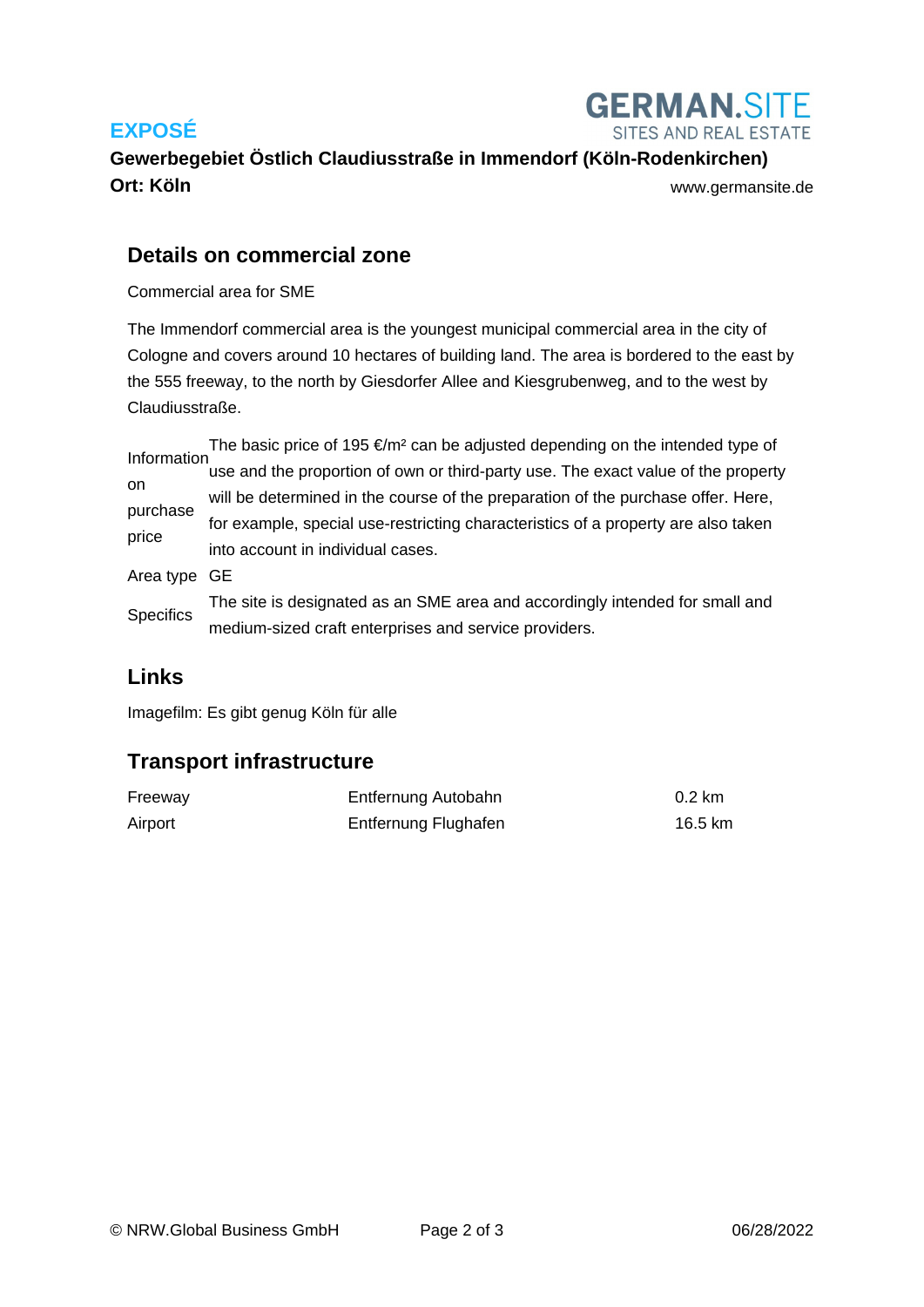# **EXPOSÉ**



**Gewerbegebiet Östlich Claudiusstraße in Immendorf (Köln-Rodenkirchen) Ort: Köln** [www.germansite.de](http://www.germansite.de)

#### **Details on commercial zone**

Commercial area for SME

The Immendorf commercial area is the youngest municipal commercial area in the city of Cologne and covers around 10 hectares of building land. The area is bordered to the east by the 555 freeway, to the north by Giesdorfer Allee and Kiesgrubenweg, and to the west by Claudiusstraße.

Information on purchase price The basic price of 195  $\epsilon/m^2$  can be adjusted depending on the intended type of use and the proportion of own or third-party use. The exact value of the property will be determined in the course of the preparation of the purchase offer. Here, for example, special use-restricting characteristics of a property are also taken into account in individual cases. Area type GE **Specifics** The site is designated as an SME area and accordingly intended for small and medium-sized craft enterprises and service providers.

#### **Links**

[Imagefilm: Es gibt genug Köln für alle](https://www.youtube.com/watch?v=Bg2785d2epM)

### **Transport infrastructure**

| Freeway | Entfernung Autobahn  | $0.2 \text{ km}$ |
|---------|----------------------|------------------|
| Airport | Entfernung Flughafen | 16.5 km          |